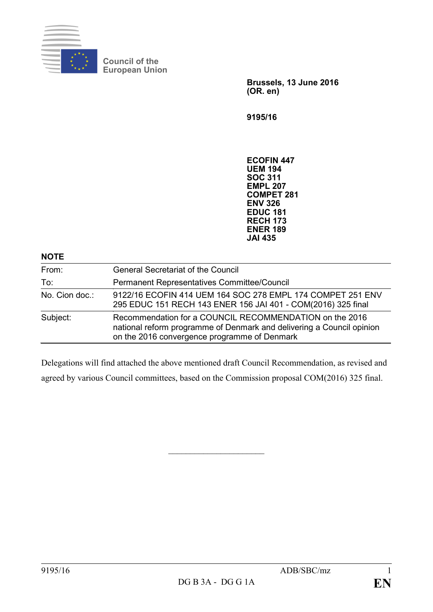

**Council of the European Union**

> **Brussels, 13 June 2016 (OR. en)**

**9195/16**

**ECOFIN 447 UEM 194 SOC 311 EMPL 207 COMPET 281 ENV 326 EDUC 181 RECH 173 ENER 189 JAI 435**

| <b>NOTE</b>    |                                                                                                                                                                                  |
|----------------|----------------------------------------------------------------------------------------------------------------------------------------------------------------------------------|
| From:          | <b>General Secretariat of the Council</b>                                                                                                                                        |
| To:            | Permanent Representatives Committee/Council                                                                                                                                      |
| No. Cion doc.: | 9122/16 ECOFIN 414 UEM 164 SOC 278 EMPL 174 COMPET 251 ENV<br>295 EDUC 151 RECH 143 ENER 156 JAI 401 - COM(2016) 325 final                                                       |
| Subject:       | Recommendation for a COUNCIL RECOMMENDATION on the 2016<br>national reform programme of Denmark and delivering a Council opinion<br>on the 2016 convergence programme of Denmark |

Delegations will find attached the above mentioned draft Council Recommendation, as revised and agreed by various Council committees, based on the Commission proposal COM(2016) 325 final.

 $\overline{\phantom{a}}$  , which is a set of the set of the set of the set of the set of the set of the set of the set of the set of the set of the set of the set of the set of the set of the set of the set of the set of the set of th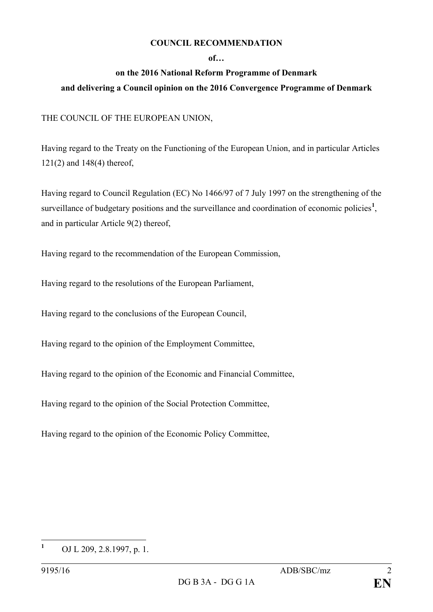## **COUNCIL RECOMMENDATION**

## **of…**

## **on the 2016 National Reform Programme of Denmark and delivering a Council opinion on the 2016 Convergence Programme of Denmark**

## THE COUNCIL OF THE EUROPEAN UNION,

Having regard to the Treaty on the Functioning of the European Union, and in particular Articles 121(2) and 148(4) thereof,

Having regard to Council Regulation (EC) No 1466/97 of 7 July 1997 on the strengthening of the surveillance of budgetary positions and the surveillance and coordination of economic policies<sup>[1](#page-1-0)</sup>, and in particular Article 9(2) thereof,

Having regard to the recommendation of the European Commission,

Having regard to the resolutions of the European Parliament,

Having regard to the conclusions of the European Council,

Having regard to the opinion of the Employment Committee,

Having regard to the opinion of the Economic and Financial Committee,

Having regard to the opinion of the Social Protection Committee,

Having regard to the opinion of the Economic Policy Committee,

<span id="page-1-0"></span>**<sup>1</sup>** OJ L 209, 2.8.1997, p. 1.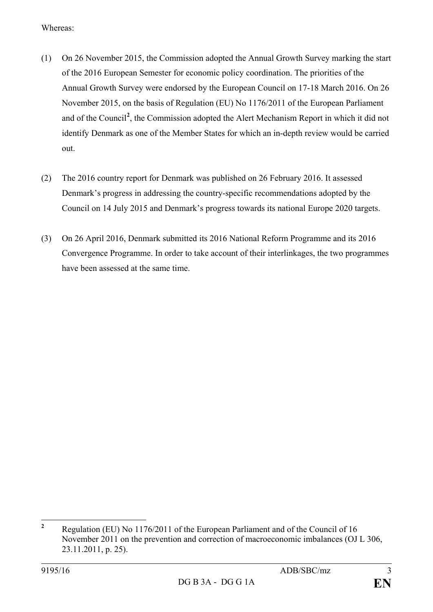Whereas:

- (1) On 26 November 2015, the Commission adopted the Annual Growth Survey marking the start of the 2016 European Semester for economic policy coordination. The priorities of the Annual Growth Survey were endorsed by the European Council on 17-18 March 2016. On 26 November 2015, on the basis of Regulation (EU) No 1176/2011 of the European Parliament and of the Council**[2](#page-2-0)** , the Commission adopted the Alert Mechanism Report in which it did not identify Denmark as one of the Member States for which an in-depth review would be carried out.
- (2) The 2016 country report for Denmark was published on 26 February 2016. It assessed Denmark's progress in addressing the country-specific recommendations adopted by the Council on 14 July 2015 and Denmark's progress towards its national Europe 2020 targets.
- (3) On 26 April 2016, Denmark submitted its 2016 National Reform Programme and its 2016 Convergence Programme. In order to take account of their interlinkages, the two programmes have been assessed at the same time.

<span id="page-2-0"></span>**<sup>2</sup>** Regulation (EU) No 1176/2011 of the European Parliament and of the Council of 16 November 2011 on the prevention and correction of macroeconomic imbalances (OJ L 306, 23.11.2011, p. 25).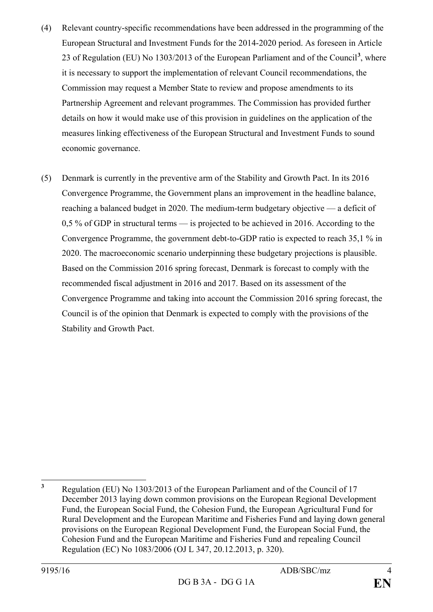- (4) Relevant country-specific recommendations have been addressed in the programming of the European Structural and Investment Funds for the 2014-2020 period. As foreseen in Article 23 of Regulation (EU) No 1303/2013 of the European Parliament and of the Council**[3](#page-3-0)** , where it is necessary to support the implementation of relevant Council recommendations, the Commission may request a Member State to review and propose amendments to its Partnership Agreement and relevant programmes. The Commission has provided further details on how it would make use of this provision in guidelines on the application of the measures linking effectiveness of the European Structural and Investment Funds to sound economic governance.
- (5) Denmark is currently in the preventive arm of the Stability and Growth Pact. In its 2016 Convergence Programme, the Government plans an improvement in the headline balance, reaching a balanced budget in 2020. The medium-term budgetary objective — a deficit of 0,5 % of GDP in structural terms — is projected to be achieved in 2016. According to the Convergence Programme, the government debt-to-GDP ratio is expected to reach 35,1 % in 2020. The macroeconomic scenario underpinning these budgetary projections is plausible. Based on the Commission 2016 spring forecast, Denmark is forecast to comply with the recommended fiscal adjustment in 2016 and 2017. Based on its assessment of the Convergence Programme and taking into account the Commission 2016 spring forecast, the Council is of the opinion that Denmark is expected to comply with the provisions of the Stability and Growth Pact.

<span id="page-3-0"></span>**<sup>3</sup>** Regulation (EU) No 1303/2013 of the European Parliament and of the Council of 17 December 2013 laying down common provisions on the European Regional Development Fund, the European Social Fund, the Cohesion Fund, the European Agricultural Fund for Rural Development and the European Maritime and Fisheries Fund and laying down general provisions on the European Regional Development Fund, the European Social Fund, the Cohesion Fund and the European Maritime and Fisheries Fund and repealing Council Regulation (EC) No 1083/2006 (OJ L 347, 20.12.2013, p. 320).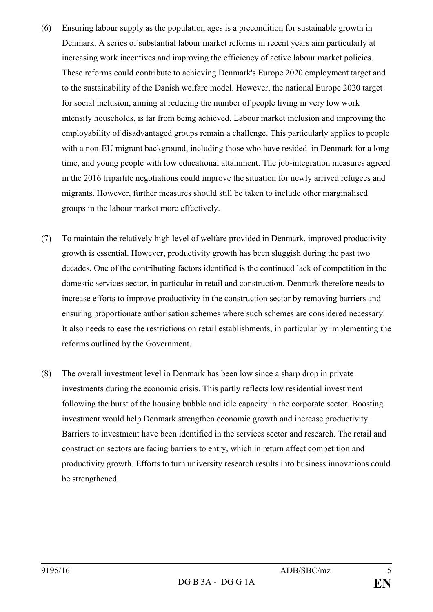- (6) Ensuring labour supply as the population ages is a precondition for sustainable growth in Denmark. A series of substantial labour market reforms in recent years aim particularly at increasing work incentives and improving the efficiency of active labour market policies. These reforms could contribute to achieving Denmark's Europe 2020 employment target and to the sustainability of the Danish welfare model. However, the national Europe 2020 target for social inclusion, aiming at reducing the number of people living in very low work intensity households, is far from being achieved. Labour market inclusion and improving the employability of disadvantaged groups remain a challenge. This particularly applies to people with a non-EU migrant background, including those who have resided in Denmark for a long time, and young people with low educational attainment. The job-integration measures agreed in the 2016 tripartite negotiations could improve the situation for newly arrived refugees and migrants. However, further measures should still be taken to include other marginalised groups in the labour market more effectively.
- (7) To maintain the relatively high level of welfare provided in Denmark, improved productivity growth is essential. However, productivity growth has been sluggish during the past two decades. One of the contributing factors identified is the continued lack of competition in the domestic services sector, in particular in retail and construction. Denmark therefore needs to increase efforts to improve productivity in the construction sector by removing barriers and ensuring proportionate authorisation schemes where such schemes are considered necessary. It also needs to ease the restrictions on retail establishments, in particular by implementing the reforms outlined by the Government.
- (8) The overall investment level in Denmark has been low since a sharp drop in private investments during the economic crisis. This partly reflects low residential investment following the burst of the housing bubble and idle capacity in the corporate sector. Boosting investment would help Denmark strengthen economic growth and increase productivity. Barriers to investment have been identified in the services sector and research. The retail and construction sectors are facing barriers to entry, which in return affect competition and productivity growth. Efforts to turn university research results into business innovations could be strengthened.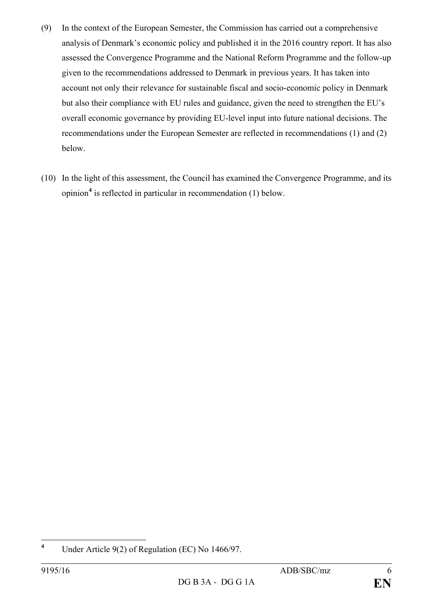- (9) In the context of the European Semester, the Commission has carried out a comprehensive analysis of Denmark's economic policy and published it in the 2016 country report. It has also assessed the Convergence Programme and the National Reform Programme and the follow-up given to the recommendations addressed to Denmark in previous years. It has taken into account not only their relevance for sustainable fiscal and socio-economic policy in Denmark but also their compliance with EU rules and guidance, given the need to strengthen the EU's overall economic governance by providing EU-level input into future national decisions. The recommendations under the European Semester are reflected in recommendations (1) and (2) below.
- (10) In the light of this assessment, the Council has examined the Convergence Programme, and its opinion**[4](#page-5-0)** is reflected in particular in recommendation (1) below.

<span id="page-5-0"></span>**<sup>4</sup>** Under Article 9(2) of Regulation (EC) No 1466/97.